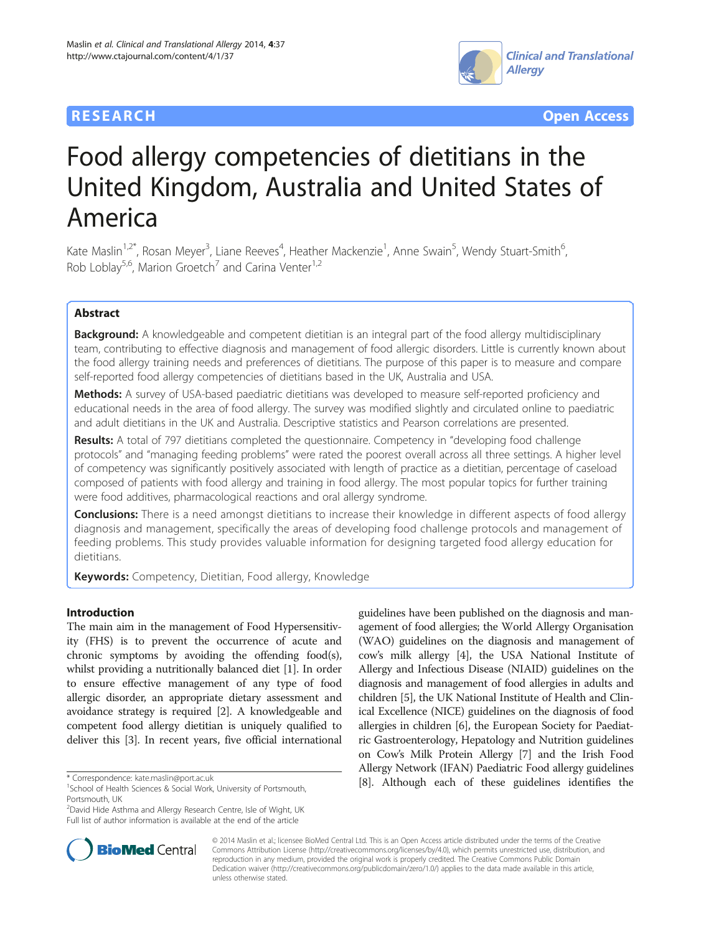## **RESEARCH CHEAR CHEAR CHEAR CHEAR CHEAR CHEAR CHEAR CHEAR CHEAR CHEAR CHEAR CHEAR CHEAR CHEAR CHEAR CHEAR CHEAR**



# Food allergy competencies of dietitians in the United Kingdom, Australia and United States of America

Kate Maslin<sup>1,2\*</sup>, Rosan Meyer<sup>3</sup>, Liane Reeves<sup>4</sup>, Heather Mackenzie<sup>1</sup>, Anne Swain<sup>5</sup>, Wendy Stuart-Smith<sup>6</sup> , Rob Loblay<sup>5,6</sup>, Marion Groetch<sup>7</sup> and Carina Venter<sup>1,2</sup>

## Abstract

**Background:** A knowledgeable and competent dietitian is an integral part of the food allergy multidisciplinary team, contributing to effective diagnosis and management of food allergic disorders. Little is currently known about the food allergy training needs and preferences of dietitians. The purpose of this paper is to measure and compare self-reported food allergy competencies of dietitians based in the UK, Australia and USA.

Methods: A survey of USA-based paediatric dietitians was developed to measure self-reported proficiency and educational needs in the area of food allergy. The survey was modified slightly and circulated online to paediatric and adult dietitians in the UK and Australia. Descriptive statistics and Pearson correlations are presented.

Results: A total of 797 dietitians completed the questionnaire. Competency in "developing food challenge protocols" and "managing feeding problems" were rated the poorest overall across all three settings. A higher level of competency was significantly positively associated with length of practice as a dietitian, percentage of caseload composed of patients with food allergy and training in food allergy. The most popular topics for further training were food additives, pharmacological reactions and oral allergy syndrome.

**Conclusions:** There is a need amongst dietitians to increase their knowledge in different aspects of food allergy diagnosis and management, specifically the areas of developing food challenge protocols and management of feeding problems. This study provides valuable information for designing targeted food allergy education for dietitians.

Keywords: Competency, Dietitian, Food allergy, Knowledge

## Introduction

The main aim in the management of Food Hypersensitivity (FHS) is to prevent the occurrence of acute and chronic symptoms by avoiding the offending food(s), whilst providing a nutritionally balanced diet [\[1\]](#page-6-0). In order to ensure effective management of any type of food allergic disorder, an appropriate dietary assessment and avoidance strategy is required [\[2](#page-6-0)]. A knowledgeable and competent food allergy dietitian is uniquely qualified to deliver this [\[3\]](#page-6-0). In recent years, five official international

<sup>&</sup>lt;sup>2</sup>David Hide Asthma and Allergy Research Centre, Isle of Wight, UK Full list of author information is available at the end of the article





© 2014 Maslin et al.; licensee BioMed Central Ltd. This is an Open Access article distributed under the terms of the Creative Commons Attribution License [\(http://creativecommons.org/licenses/by/4.0\)](http://creativecommons.org/licenses/by/4.0), which permits unrestricted use, distribution, and reproduction in any medium, provided the original work is properly credited. The Creative Commons Public Domain Dedication waiver [\(http://creativecommons.org/publicdomain/zero/1.0/](http://creativecommons.org/publicdomain/zero/1.0/)) applies to the data made available in this article, unless otherwise stated.

<sup>&</sup>lt;sup>1</sup>School of Health Sciences & Social Work, University of Portsmouth, Portsmouth, UK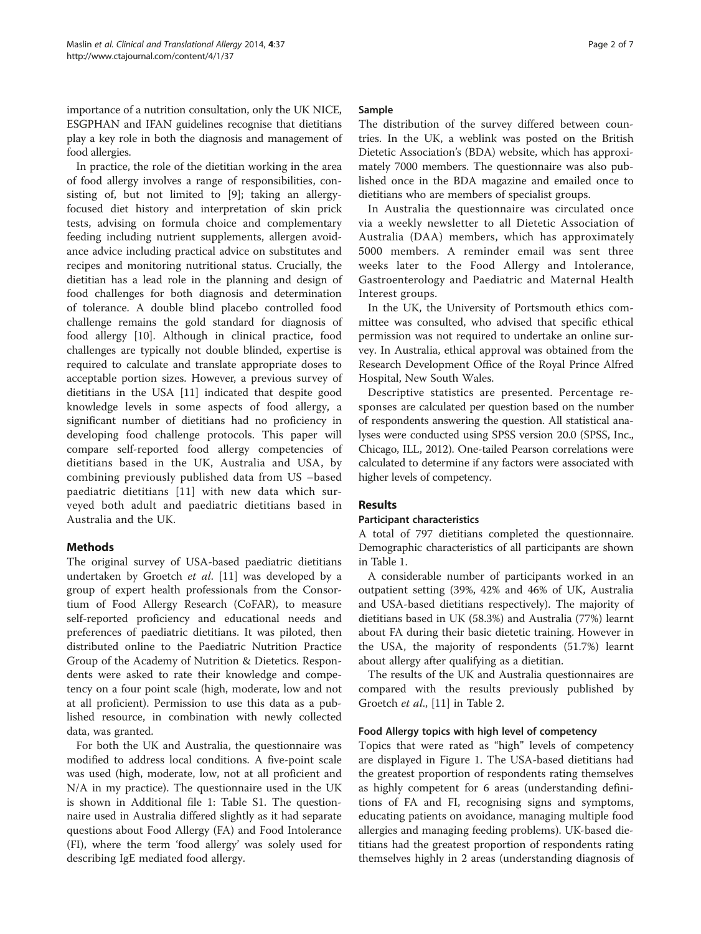importance of a nutrition consultation, only the UK NICE, ESGPHAN and IFAN guidelines recognise that dietitians play a key role in both the diagnosis and management of food allergies.

In practice, the role of the dietitian working in the area of food allergy involves a range of responsibilities, consisting of, but not limited to [[9\]](#page-6-0); taking an allergyfocused diet history and interpretation of skin prick tests, advising on formula choice and complementary feeding including nutrient supplements, allergen avoidance advice including practical advice on substitutes and recipes and monitoring nutritional status. Crucially, the dietitian has a lead role in the planning and design of food challenges for both diagnosis and determination of tolerance. A double blind placebo controlled food challenge remains the gold standard for diagnosis of food allergy [[10\]](#page-6-0). Although in clinical practice, food challenges are typically not double blinded, expertise is required to calculate and translate appropriate doses to acceptable portion sizes. However, a previous survey of dietitians in the USA [\[11\]](#page-6-0) indicated that despite good knowledge levels in some aspects of food allergy, a significant number of dietitians had no proficiency in developing food challenge protocols. This paper will compare self-reported food allergy competencies of dietitians based in the UK, Australia and USA, by combining previously published data from US –based paediatric dietitians [[11\]](#page-6-0) with new data which surveyed both adult and paediatric dietitians based in Australia and the UK.

## Methods

The original survey of USA-based paediatric dietitians undertaken by Groetch et al. [\[11](#page-6-0)] was developed by a group of expert health professionals from the Consortium of Food Allergy Research (CoFAR), to measure self-reported proficiency and educational needs and preferences of paediatric dietitians. It was piloted, then distributed online to the Paediatric Nutrition Practice Group of the Academy of Nutrition & Dietetics. Respondents were asked to rate their knowledge and competency on a four point scale (high, moderate, low and not at all proficient). Permission to use this data as a published resource, in combination with newly collected data, was granted.

For both the UK and Australia, the questionnaire was modified to address local conditions. A five-point scale was used (high, moderate, low, not at all proficient and N/A in my practice). The questionnaire used in the UK is shown in Additional file [1](#page-5-0): Table S1. The questionnaire used in Australia differed slightly as it had separate questions about Food Allergy (FA) and Food Intolerance (FI), where the term 'food allergy' was solely used for describing IgE mediated food allergy.

#### Sample

The distribution of the survey differed between countries. In the UK, a weblink was posted on the British Dietetic Association's (BDA) website, which has approximately 7000 members. The questionnaire was also published once in the BDA magazine and emailed once to dietitians who are members of specialist groups.

In Australia the questionnaire was circulated once via a weekly newsletter to all Dietetic Association of Australia (DAA) members, which has approximately 5000 members. A reminder email was sent three weeks later to the Food Allergy and Intolerance, Gastroenterology and Paediatric and Maternal Health Interest groups.

In the UK, the University of Portsmouth ethics committee was consulted, who advised that specific ethical permission was not required to undertake an online survey. In Australia, ethical approval was obtained from the Research Development Office of the Royal Prince Alfred Hospital, New South Wales.

Descriptive statistics are presented. Percentage responses are calculated per question based on the number of respondents answering the question. All statistical analyses were conducted using SPSS version 20.0 (SPSS, Inc., Chicago, ILL, 2012). One-tailed Pearson correlations were calculated to determine if any factors were associated with higher levels of competency.

## Results

## Participant characteristics

A total of 797 dietitians completed the questionnaire. Demographic characteristics of all participants are shown in Table [1](#page-2-0).

A considerable number of participants worked in an outpatient setting (39%, 42% and 46% of UK, Australia and USA-based dietitians respectively). The majority of dietitians based in UK (58.3%) and Australia (77%) learnt about FA during their basic dietetic training. However in the USA, the majority of respondents (51.7%) learnt about allergy after qualifying as a dietitian.

The results of the UK and Australia questionnaires are compared with the results previously published by Groetch *et al.*, [[11\]](#page-6-0) in Table [2](#page-2-0).

## Food Allergy topics with high level of competency

Topics that were rated as "high" levels of competency are displayed in Figure [1.](#page-3-0) The USA-based dietitians had the greatest proportion of respondents rating themselves as highly competent for 6 areas (understanding definitions of FA and FI, recognising signs and symptoms, educating patients on avoidance, managing multiple food allergies and managing feeding problems). UK-based dietitians had the greatest proportion of respondents rating themselves highly in 2 areas (understanding diagnosis of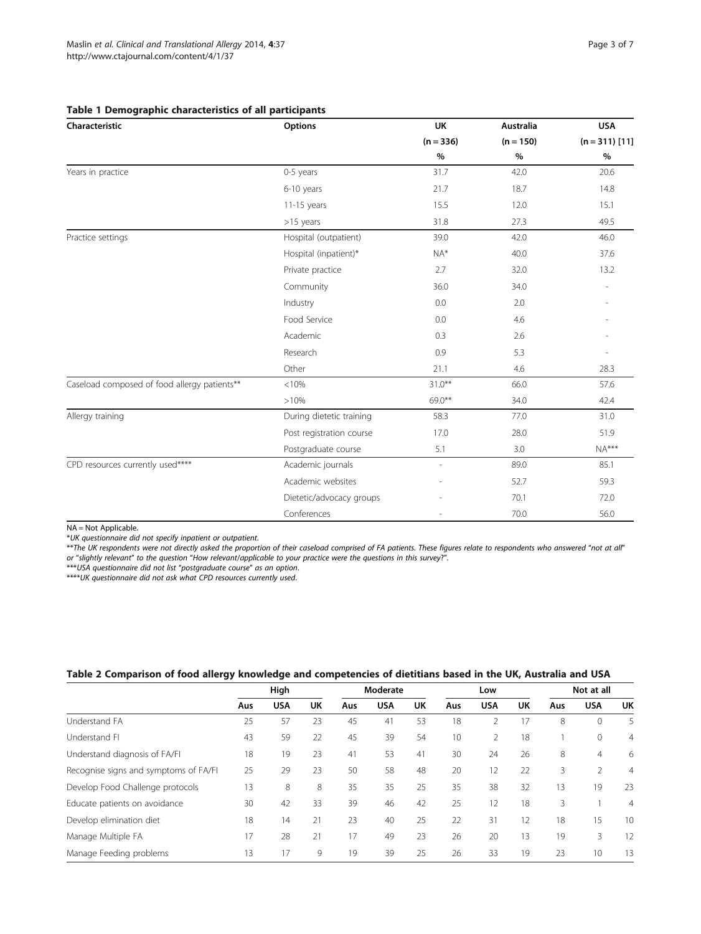| Characteristic                               | Options                  | <b>UK</b>   | Australia   | <b>USA</b>       |  |
|----------------------------------------------|--------------------------|-------------|-------------|------------------|--|
|                                              |                          | $(n = 336)$ | $(n = 150)$ | $(n = 311)$ [11] |  |
|                                              |                          | $\%$        | $\%$        | $\%$             |  |
| Years in practice                            | 0-5 years                | 31.7        | 42.0        | 20.6             |  |
|                                              | 6-10 years               | 21.7        | 18.7        | 14.8             |  |
|                                              | 11-15 years              | 15.5        | 12.0        | 15.1             |  |
|                                              | $>15$ years              | 31.8        | 27.3        | 49.5             |  |
| Practice settings                            | Hospital (outpatient)    | 39.0        | 42.0        | 46.0             |  |
|                                              | Hospital (inpatient)*    | $NA*$       | 40.0        | 37.6             |  |
|                                              | Private practice         | 2.7         | 32.0        | 13.2             |  |
|                                              | Community                | 36.0        | 34.0        |                  |  |
|                                              | Industry                 | 0.0         | 2.0         |                  |  |
|                                              | Food Service             | 0.0         | 4.6         |                  |  |
|                                              | Academic                 | 0.3         | 2.6         |                  |  |
|                                              | Research                 | 0.9         | 5.3         |                  |  |
|                                              | Other                    | 21.1        | 4.6         | 28.3             |  |
| Caseload composed of food allergy patients** | < 10%                    | $31.0***$   | 66.0        | 57.6             |  |
|                                              | >10%                     | 69.0**      | 34.0        | 42.4             |  |
| Allergy training                             | During dietetic training | 58.3        | 77.0        | 31.0             |  |
|                                              | Post registration course | 17.0        | 28.0        | 51.9             |  |
|                                              | Postgraduate course      | 5.1         | 3.0         | $NA***$          |  |
| CPD resources currently used****             | Academic journals        | ٠           | 89.0        | 85.1             |  |
|                                              | Academic websites        |             | 52.7        | 59.3             |  |
|                                              | Dietetic/advocacy groups |             | 70.1        | 72.0             |  |
|                                              | Conferences              |             | 70.0        | 56.0             |  |

#### <span id="page-2-0"></span>Table 1 Demographic characteristics of all participants

NA = Not Applicable.

\*UK questionnaire did not specify inpatient or outpatient.

\*\*The UK respondents were not directly asked the proportion of their caseload comprised of FA patients. These figures relate to respondents who answered "not at all" or "slightly relevant" to the question "How relevant/applicable to your practice were the questions in this survey?".

\*\*\*USA questionnaire did not list "postgraduate course" as an option.

\*\*\*\*UK questionnaire did not ask what CPD resources currently used.

## Table 2 Comparison of food allergy knowledge and competencies of dietitians based in the UK, Australia and USA

|                                       | High |            | Moderate  |     | Low        |           | Not at all |                |    |     |                |                |
|---------------------------------------|------|------------|-----------|-----|------------|-----------|------------|----------------|----|-----|----------------|----------------|
|                                       | Aus  | <b>USA</b> | <b>UK</b> | Aus | <b>USA</b> | <b>UK</b> | Aus        | <b>USA</b>     | UK | Aus | <b>USA</b>     | UK             |
| Understand FA                         | 25   | 57         | 23        | 45  | 41         | 53        | 18         | 2              | 17 | 8   | 0              | 5              |
| Understand FI                         | 43   | 59         | 22        | 45  | 39         | 54        | 10         | $\overline{2}$ | 18 |     | 0              | $\overline{4}$ |
| Understand diagnosis of FA/FI         | 18   | 19         | 23        | 41  | 53         | 41        | 30         | 24             | 26 | 8   | $\overline{4}$ | 6              |
| Recognise signs and symptoms of FA/FI | 25   | 29         | 23        | 50  | 58         | 48        | 20         | 12             | 22 | 3   | 2              | $\overline{4}$ |
| Develop Food Challenge protocols      | 13   | 8          | 8         | 35  | 35         | 25        | 35         | 38             | 32 | 13  | 19             | 23             |
| Educate patients on avoidance         | 30   | 42         | 33        | 39  | 46         | 42        | 25         | 12             | 18 | 3   |                | $\overline{4}$ |
| Develop elimination diet              | 18   | 14         | 21        | 23  | 40         | 25        | 22         | 31             | 12 | 18  | 15             | 10             |
| Manage Multiple FA                    | 17   | 28         | 21        | 17  | 49         | 23        | 26         | 20             | 13 | 19  | 3              | 12             |
| Manage Feeding problems               | 13   | 17         | 9         | 19  | 39         | 25        | 26         | 33             | 19 | 23  | 10             | 13             |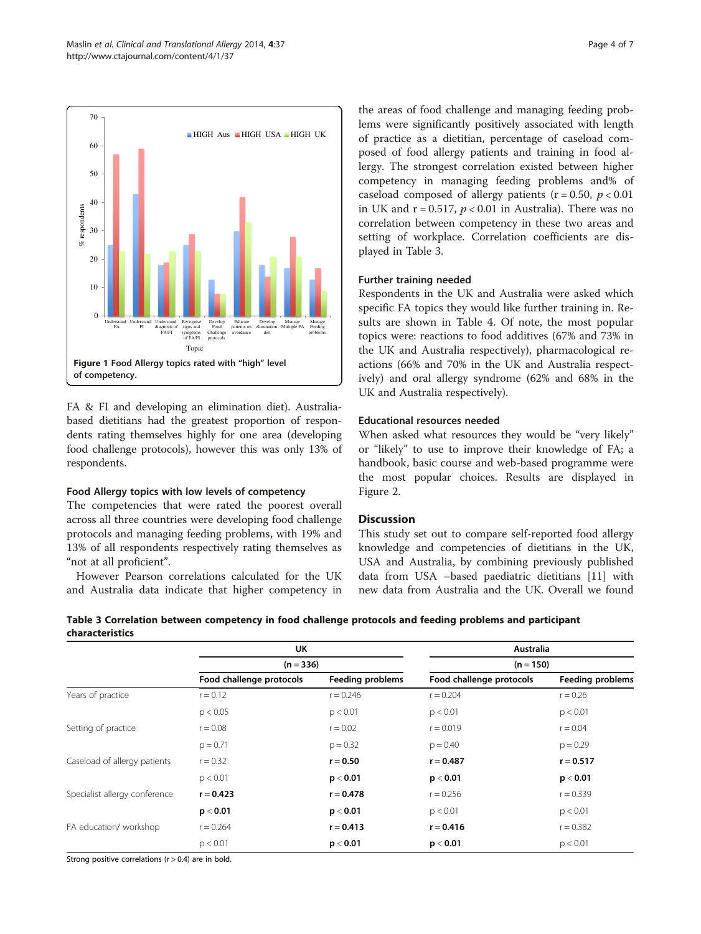<span id="page-3-0"></span>

FA & FI and developing an elimination diet). Australiabased dietitians had the greatest proportion of respondents rating themselves highly for one area (developing food challenge protocols), however this was only 13% of respondents.

## Food Allergy topics with low levels of competency

The competencies that were rated the poorest overall across all three countries were developing food challenge protocols and managing feeding problems, with 19% and 13% of all respondents respectively rating themselves as "not at all proficient".

However Pearson correlations calculated for the UK and Australia data indicate that higher competency in

the areas of food challenge and managing feeding problems were significantly positively associated with length of practice as a dietitian, percentage of caseload composed of food allergy patients and training in food allergy. The strongest correlation existed between higher competency in managing feeding problems and% of caseload composed of allergy patients ( $r = 0.50$ ,  $p < 0.01$ ) in UK and  $r = 0.517$ ,  $p < 0.01$  in Australia). There was no correlation between competency in these two areas and setting of workplace. Correlation coefficients are displayed in Table 3.

## Further training needed

Respondents in the UK and Australia were asked which specific FA topics they would like further training in. Results are shown in Table [4](#page-4-0). Of note, the most popular topics were: reactions to food additives (67% and 73% in the UK and Australia respectively), pharmacological reactions (66% and 70% in the UK and Australia respectively) and oral allergy syndrome (62% and 68% in the UK and Australia respectively).

#### Educational resources needed

When asked what resources they would be "very likely" or "likely" to use to improve their knowledge of FA; a handbook, basic course and web-based programme were the most popular choices. Results are displayed in Figure [2](#page-4-0).

## **Discussion**

This study set out to compare self-reported food allergy knowledge and competencies of dietitians in the UK, USA and Australia, by combining previously published data from USA –based paediatric dietitians [\[11](#page-6-0)] with new data from Australia and the UK. Overall we found

| Table 3 Correlation between competency in food challenge protocols and feeding problems and participant |  |
|---------------------------------------------------------------------------------------------------------|--|
| characteristics                                                                                         |  |
|                                                                                                         |  |

|                               | UK                       |                  | Australia<br>$(n = 150)$ |                         |  |  |
|-------------------------------|--------------------------|------------------|--------------------------|-------------------------|--|--|
|                               | $(n = 336)$              |                  |                          |                         |  |  |
|                               | Food challenge protocols | Feeding problems | Food challenge protocols | <b>Feeding problems</b> |  |  |
| Years of practice             | $r = 0.12$               | $r = 0.246$      | $r = 0.204$              | $r = 0.26$              |  |  |
|                               | p < 0.05                 | p < 0.01         | p < 0.01                 | p < 0.01                |  |  |
| Setting of practice           | $r = 0.08$               | $r = 0.02$       | $r = 0.019$              | $r = 0.04$              |  |  |
|                               | $p = 0.71$               | $p = 0.32$       | $p = 0.40$               | $p = 0.29$              |  |  |
| Caseload of allergy patients  | $r = 0.32$               | $r = 0.50$       | $r = 0.487$              | $r = 0.517$             |  |  |
|                               | p < 0.01                 | p < 0.01         | p < 0.01                 | p < 0.01                |  |  |
| Specialist allergy conference | $r = 0.423$              | $r = 0.478$      | $r = 0.256$              | $r = 0.339$             |  |  |
|                               | p < 0.01                 | p < 0.01         | p < 0.01                 | p < 0.01                |  |  |
| FA education/workshop         | $r = 0.264$              | $r = 0.413$      | $r = 0.416$              | $r = 0.382$             |  |  |
|                               | p < 0.01                 | p < 0.01         | p < 0.01                 | p < 0.01                |  |  |

Strong positive correlations ( $r > 0.4$ ) are in bold.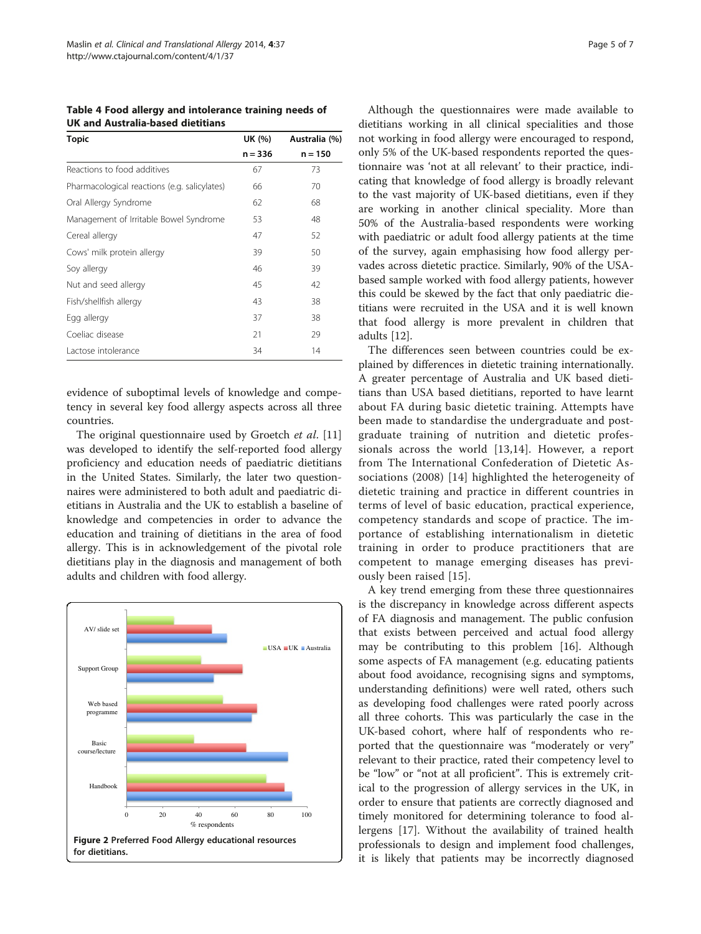<span id="page-4-0"></span>Table 4 Food allergy and intolerance training needs of UK and Australia-based dietitians

| Topic                                        | UK (%)    | Australia (%) |
|----------------------------------------------|-----------|---------------|
|                                              | $n = 336$ | $n = 150$     |
| Reactions to food additives                  | 67        | 73            |
| Pharmacological reactions (e.g. salicylates) | 66        | 70            |
| Oral Allergy Syndrome                        | 62        | 68            |
| Management of Irritable Bowel Syndrome       | 53        | 48            |
| Cereal allergy                               | 47        | 52            |
| Cows' milk protein allergy                   | 39        | 50            |
| Soy allergy                                  | 46        | 39            |
| Nut and seed allergy                         | 45        | 42            |
| Fish/shellfish allergy                       | 43        | 38            |
| Egg allergy                                  | 37        | 38            |
| Coeliac disease                              | 21        | 29            |
| Lactose intolerance                          | 34        | 14            |

evidence of suboptimal levels of knowledge and competency in several key food allergy aspects across all three countries.

The original questionnaire used by Groetch et al. [[11](#page-6-0)] was developed to identify the self-reported food allergy proficiency and education needs of paediatric dietitians in the United States. Similarly, the later two questionnaires were administered to both adult and paediatric dietitians in Australia and the UK to establish a baseline of knowledge and competencies in order to advance the education and training of dietitians in the area of food allergy. This is in acknowledgement of the pivotal role dietitians play in the diagnosis and management of both adults and children with food allergy.



Although the questionnaires were made available to dietitians working in all clinical specialities and those not working in food allergy were encouraged to respond, only 5% of the UK-based respondents reported the questionnaire was 'not at all relevant' to their practice, indicating that knowledge of food allergy is broadly relevant to the vast majority of UK-based dietitians, even if they are working in another clinical speciality. More than 50% of the Australia-based respondents were working with paediatric or adult food allergy patients at the time of the survey, again emphasising how food allergy pervades across dietetic practice. Similarly, 90% of the USAbased sample worked with food allergy patients, however this could be skewed by the fact that only paediatric dietitians were recruited in the USA and it is well known that food allergy is more prevalent in children that adults [\[12](#page-6-0)].

The differences seen between countries could be explained by differences in dietetic training internationally. A greater percentage of Australia and UK based dietitians than USA based dietitians, reported to have learnt about FA during basic dietetic training. Attempts have been made to standardise the undergraduate and postgraduate training of nutrition and dietetic professionals across the world [\[13](#page-6-0),[14\]](#page-6-0). However, a report from The International Confederation of Dietetic Associations (2008) [\[14](#page-6-0)] highlighted the heterogeneity of dietetic training and practice in different countries in terms of level of basic education, practical experience, competency standards and scope of practice. The importance of establishing internationalism in dietetic training in order to produce practitioners that are competent to manage emerging diseases has previously been raised [\[15](#page-6-0)].

A key trend emerging from these three questionnaires is the discrepancy in knowledge across different aspects of FA diagnosis and management. The public confusion that exists between perceived and actual food allergy may be contributing to this problem [[16\]](#page-6-0). Although some aspects of FA management (e.g. educating patients about food avoidance, recognising signs and symptoms, understanding definitions) were well rated, others such as developing food challenges were rated poorly across all three cohorts. This was particularly the case in the UK-based cohort, where half of respondents who reported that the questionnaire was "moderately or very" relevant to their practice, rated their competency level to be "low" or "not at all proficient". This is extremely critical to the progression of allergy services in the UK, in order to ensure that patients are correctly diagnosed and timely monitored for determining tolerance to food allergens [[17\]](#page-6-0). Without the availability of trained health professionals to design and implement food challenges, it is likely that patients may be incorrectly diagnosed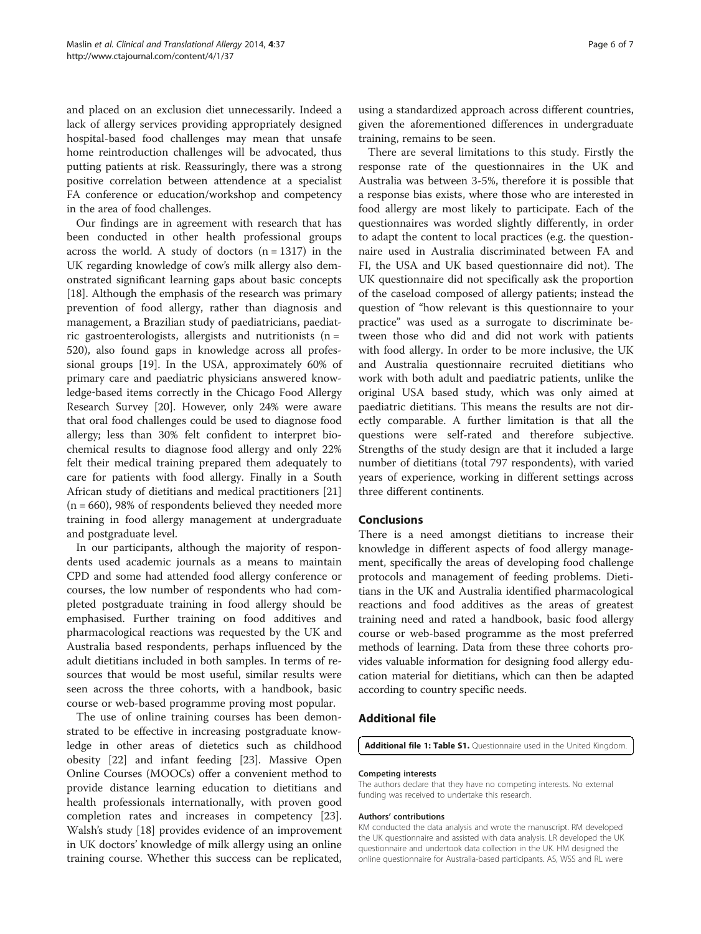<span id="page-5-0"></span>and placed on an exclusion diet unnecessarily. Indeed a lack of allergy services providing appropriately designed hospital-based food challenges may mean that unsafe home reintroduction challenges will be advocated, thus putting patients at risk. Reassuringly, there was a strong positive correlation between attendence at a specialist FA conference or education/workshop and competency in the area of food challenges.

Our findings are in agreement with research that has been conducted in other health professional groups across the world. A study of doctors  $(n = 1317)$  in the UK regarding knowledge of cow's milk allergy also demonstrated significant learning gaps about basic concepts [[18\]](#page-6-0). Although the emphasis of the research was primary prevention of food allergy, rather than diagnosis and management, a Brazilian study of paediatricians, paediatric gastroenterologists, allergists and nutritionists ( $n =$ 520), also found gaps in knowledge across all professional groups [\[19\]](#page-6-0). In the USA, approximately 60% of primary care and paediatric physicians answered knowledge‐based items correctly in the Chicago Food Allergy Research Survey [\[20](#page-6-0)]. However, only 24% were aware that oral food challenges could be used to diagnose food allergy; less than 30% felt confident to interpret biochemical results to diagnose food allergy and only 22% felt their medical training prepared them adequately to care for patients with food allergy. Finally in a South African study of dietitians and medical practitioners [[21](#page-6-0)]  $(n = 660)$ , 98% of respondents believed they needed more training in food allergy management at undergraduate and postgraduate level.

In our participants, although the majority of respondents used academic journals as a means to maintain CPD and some had attended food allergy conference or courses, the low number of respondents who had completed postgraduate training in food allergy should be emphasised. Further training on food additives and pharmacological reactions was requested by the UK and Australia based respondents, perhaps influenced by the adult dietitians included in both samples. In terms of resources that would be most useful, similar results were seen across the three cohorts, with a handbook, basic course or web-based programme proving most popular.

The use of online training courses has been demonstrated to be effective in increasing postgraduate knowledge in other areas of dietetics such as childhood obesity [\[22\]](#page-6-0) and infant feeding [[23](#page-6-0)]. Massive Open Online Courses (MOOCs) offer a convenient method to provide distance learning education to dietitians and health professionals internationally, with proven good completion rates and increases in competency [\[23](#page-6-0)]. Walsh's study [[18\]](#page-6-0) provides evidence of an improvement in UK doctors' knowledge of milk allergy using an online training course. Whether this success can be replicated,

using a standardized approach across different countries, given the aforementioned differences in undergraduate training, remains to be seen.

There are several limitations to this study. Firstly the response rate of the questionnaires in the UK and Australia was between 3-5%, therefore it is possible that a response bias exists, where those who are interested in food allergy are most likely to participate. Each of the questionnaires was worded slightly differently, in order to adapt the content to local practices (e.g. the questionnaire used in Australia discriminated between FA and FI, the USA and UK based questionnaire did not). The UK questionnaire did not specifically ask the proportion of the caseload composed of allergy patients; instead the question of "how relevant is this questionnaire to your practice" was used as a surrogate to discriminate between those who did and did not work with patients with food allergy. In order to be more inclusive, the UK and Australia questionnaire recruited dietitians who work with both adult and paediatric patients, unlike the original USA based study, which was only aimed at paediatric dietitians. This means the results are not directly comparable. A further limitation is that all the questions were self-rated and therefore subjective. Strengths of the study design are that it included a large number of dietitians (total 797 respondents), with varied years of experience, working in different settings across three different continents.

#### Conclusions

There is a need amongst dietitians to increase their knowledge in different aspects of food allergy management, specifically the areas of developing food challenge protocols and management of feeding problems. Dietitians in the UK and Australia identified pharmacological reactions and food additives as the areas of greatest training need and rated a handbook, basic food allergy course or web-based programme as the most preferred methods of learning. Data from these three cohorts provides valuable information for designing food allergy education material for dietitians, which can then be adapted according to country specific needs.

## Additional file

[Additional file 1: Table S1.](http://www.biomedcentral.com/content/supplementary/2045-7022-4-37-S1.doc) Questionnaire used in the United Kingdom.

#### Competing interests

The authors declare that they have no competing interests. No external funding was received to undertake this research.

#### Authors' contributions

KM conducted the data analysis and wrote the manuscript. RM developed the UK questionnaire and assisted with data analysis. LR developed the UK questionnaire and undertook data collection in the UK. HM designed the online questionnaire for Australia-based participants. AS, WSS and RL were